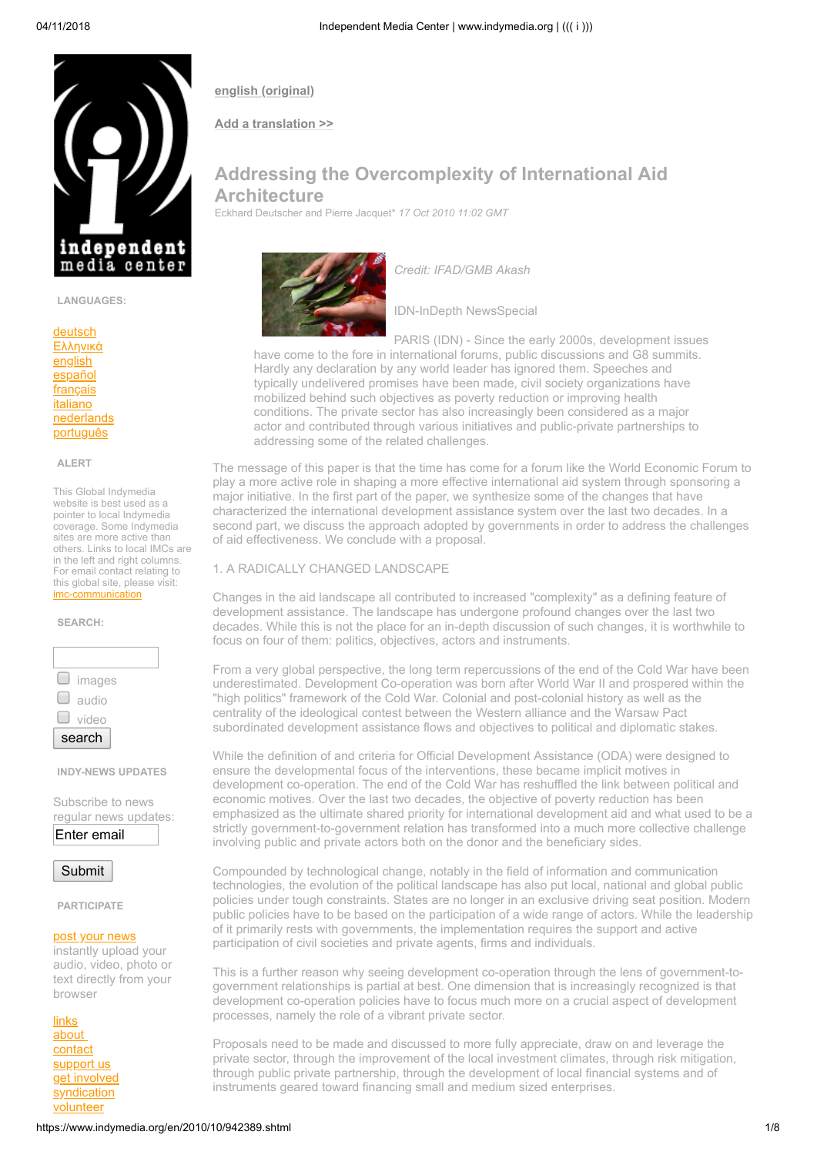**[english \(original\)](https://www.indymedia.org/en/2010/10/942389.shtml)**

**[Add a translation >>](https://publish.indymedia.org/earth/servlet/OpenMir?do=opensession&sessiontype=translation&to_content=942389)**

# **Addressing the Overcomplexity of International Aid Architecture**

Eckhard Deutscher and Pierre Jacquet\* *17 Oct 2010 11:02 GMT*



*Credit: IFAD/GMB Akash*

IDN-InDepth NewsSpecial

PARIS (IDN) - Since the early 2000s, development issues have come to the fore in international forums, public discussions and G8 summits. Hardly any declaration by any world leader has ignored them. Speeches and typically undelivered promises have been made, civil society organizations have mobilized behind such objectives as poverty reduction or improving health conditions. The private sector has also increasingly been considered as a major actor and contributed through various initiatives and public-private partnerships to addressing some of the related challenges.

The message of this paper is that the time has come for a forum like the World Economic Forum to play a more active role in shaping a more effective international aid system through sponsoring a major initiative. In the first part of the paper, we synthesize some of the changes that have characterized the international development assistance system over the last two decades. In a second part, we discuss the approach adopted by governments in order to address the challenges of aid effectiveness. We conclude with a proposal.

## 1. A RADICALLY CHANGED LANDSCAPE

Changes in the aid landscape all contributed to increased "complexity" as a defining feature of development assistance. The landscape has undergone profound changes over the last two decades. While this is not the place for an in-depth discussion of such changes, it is worthwhile to focus on four of them: politics, objectives, actors and instruments.

From a very global perspective, the long term repercussions of the end of the Cold War have been underestimated. Development Co-operation was born after World War II and prospered within the "high politics" framework of the Cold War. Colonial and post-colonial history as well as the centrality of the ideological contest between the Western alliance and the Warsaw Pact subordinated development assistance flows and objectives to political and diplomatic stakes.

While the definition of and criteria for Official Development Assistance (ODA) were designed to ensure the developmental focus of the interventions, these became implicit motives in development co-operation. The end of the Cold War has reshuffled the link between political and economic motives. Over the last two decades, the objective of poverty reduction has been emphasized as the ultimate shared priority for international development aid and what used to be a strictly government-to-government relation has transformed into a much more collective challenge involving public and private actors both on the donor and the beneficiary sides.

Compounded by technological change, notably in the field of information and communication technologies, the evolution of the political landscape has also put local, national and global public policies under tough constraints. States are no longer in an exclusive driving seat position. Modern public policies have to be based on the participation of a wide range of actors. While the leadership of it primarily rests with governments, the implementation requires the support and active participation of civil societies and private agents, firms and individuals.

This is a further reason why seeing development co-operation through the lens of government-togovernment relationships is partial at best. One dimension that is increasingly recognized is that development co-operation policies have to focus much more on a crucial aspect of development processes, namely the role of a vibrant private sector.

Proposals need to be made and discussed to more fully appreciate, draw on and leverage the private sector, through the improvement of the local investment climates, through risk mitigation, through public private partnership, through the development of local financial systems and of instruments geared toward financing small and medium sized enterprises.

[deutsch](https://www.indymedia.org/de/) [Ελληνικά](https://www.indymedia.org/el/) [english](https://www.indymedia.org/en/) [español](https://www.indymedia.org/es/) [français](https://www.indymedia.org/fr/) [italiano](https://www.indymedia.org/it/)

**LANGUAGES:**

independent media center

[nederlands](https://www.indymedia.org/nl/) [português](https://www.indymedia.org/pt/)

#### **ALERT**

This Global Indymedia website is best used as a pointer to local Indymedia coverage. Some Indymedia sites are more active than others. Links to local IMCs are in the left and right columns. For email contact relating to this global site, please visit: [imc-communication](https://lists.riseup.net/www/info/imc-communication)

#### **SEARCH:**



**INDY-NEWS UPDATES**

Subscribe to news regular news updates:

Enter email

Submit

**PARTICIPATE**

#### [post your news](https://publish.indymedia.org/earth/servlet/OpenMir?do=opensession&sessiontype=content)

instantly upload your audio, video, photo or text directly from your browser

[links](https://www.indymedia.org/en/static/links.shtml) [about](https://www.indymedia.org/en/static/about.shtml)  [contact](https://www.indymedia.org/en/static/contact.shtml) [support us](https://www.indymedia.org/en/static/support.shtml) [get involved](http://process.indymedia.org/) **[syndication](https://www.indymedia.org/en/static/syndication.shtml)** [volunteer](http://volunteer.indymedia.org/)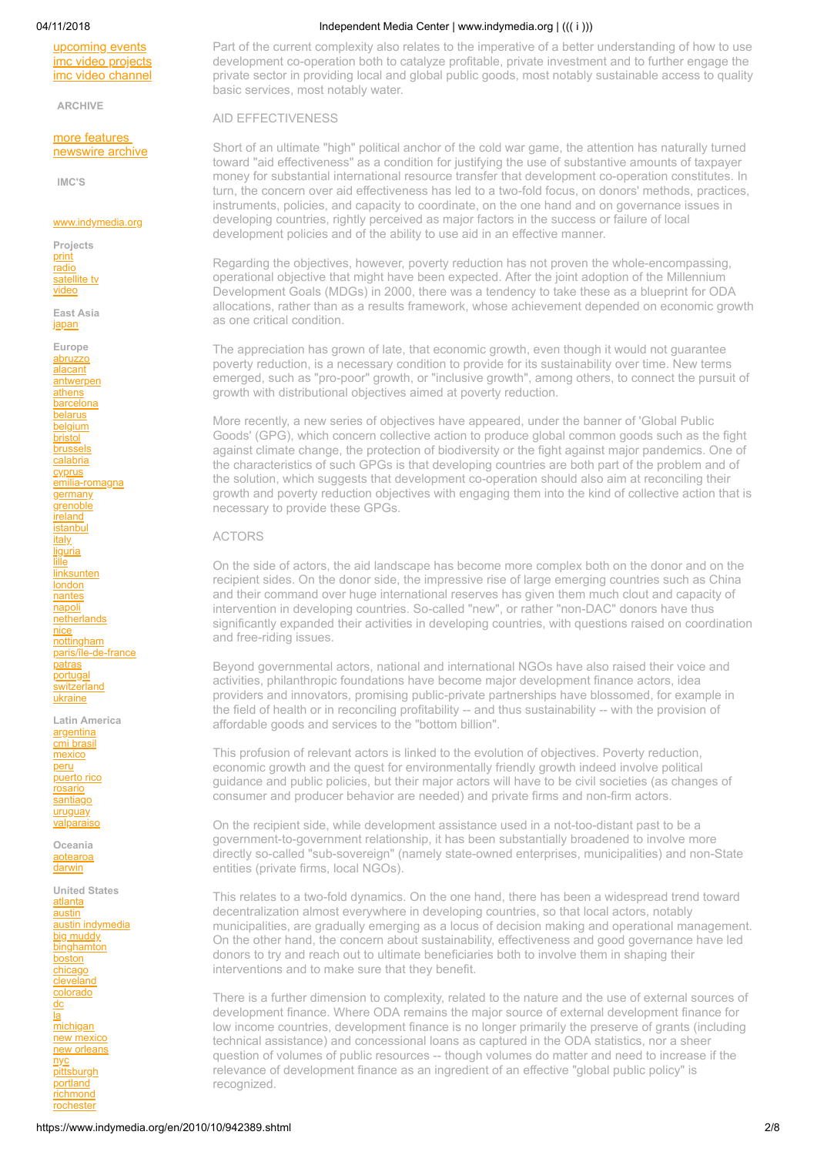[upcoming events](http://www.protest.net/) [imc video projects](https://www.indymedia.org/en/static/videoprojects.shtml) [imc video channel](https://www.indymedia.org/en/static/videochannel.shtml)

**ARCHIVE**

[more features](http://www.indymedia.org//en/feature/archive.shtml)  [newswire archive](https://en/newswire/archive.shtml)

**IMC'S**

### [www.indymedia.org](https://www.indymedia.org/)

**Projects** [print](http://print.indymedia.org/) [radio](http://radio.indymedia.org/) [satellite tv](http://satellite.indymedia.org/) [video](http://video.indymedia.org/)

**East Asia** [japan](http://japan.indymedia.org/)

**Europe** [abruzzo](http://abruzzo.indymedia.org/) [alacant](http://alacant.indymedia.org/) [antwerpen](http://antwerpen-indymedia.be/) **[athens](http://athens.indymedia.org/)** [barcelona](http://barcelona.indymedia.org/) [belarus](http://belarus.indymedia.org/) **[belgium](http://belgium.indymedia.org/)** [bristol](http://bristol.indymedia.org/) [brussels](http://bxl.indymedia.org/) [calabria](http://calabria.indymedia.org/) [cyprus](http://cyprus.indymedia.org/) [emilia-romagna](http://emiliaromagna.indymedia.org/) **[germany](http://de.indymedia.org/)** [grenoble](http://grenoble.indymedia.org/) [ireland](http://www.indymedia.ie/) [istanbul](http://istanbul.indymedia.org/) [italy](http://italy.indymedia.org/) [liguria](http://liguria.indymedia.org/) [lille](http://lille.indymedia.org/) [linksunten](http://linksunten.indymedia.org/) **[london](http://london.indymedia.org/)** [nantes](http://nantes.indymedia.org/) [napoli](http://napoli.indymedia.org/) **[netherlands](https://www.indymedia.nl/)** [nice](http://nice.indymedia.org/) [nottingham](http://nottingham.indymedia.org/) [paris/île-de-france](http://paris.indymedia.org/) **[patras](http://patras.indymedia.org/)** [portugal](http://pt.indymedia.org/) [switzerland](http://switzerland.indymedia.org/) [ukraine](http://ukraine.indymedia.org/)

**Latin America** [argentina](http://argentina.indymedia.org/) [cmi brasil](http://www.midiaindependente.org/) [mexico](http://mexico.indymedia.org/) [peru](http://peru.indymedia.org/) [puerto rico](http://indymediapr.org/) [rosario](http://rosario.indymedia.org/) [santiago](http://santiago.indymedia.org/)

[valparaiso](http://valparaiso.indymedia.org/) **Oceania** [aotearoa](http://www.indymedia.org.nz/)

[darwin](http://darwin.indymedia.org/)

[uruguay](http://uruguay.indymedia.org/)

**United States** [atlanta](http://atlanta.indymedia.org/) [austin](http://austin.indymedia.org/) [austin indymedia](http://austin.indymedia.org/) [big muddy](http://bigmuddyimc.org/) **[binghamton](http://binghamton.indymedia.org/)** [boston](http://boston.indymedia.org/) [chicago](http://chicago.indymedia.org/) **[cleveland](http://cleveland.indymedia.org/)** [colorado](http://colorado.indymedia.org/) [dc](https://dcindymedia.org/) [la](http://la.indymedia.org/) [michigan](http://www.michiganimc.org/) [new mexico](http://newmexico.indymedia.org/) [new orleans](http://neworleans.indymedia.org/) [nyc](http://nyc.indymedia.org/) **[pittsburgh](http://pittsburgh.indymedia.org/)** [portland](http://portland.indymedia.org/) [richmond](http://richmond.indymedia.org/) **[rochester](http://rochester.indymedia.org/)** 

#### 04/11/2018 Independent Media Center | www.indymedia.org | ((( i )))

Part of the current complexity also relates to the imperative of a better understanding of how to use development co-operation both to catalyze profitable, private investment and to further engage the private sector in providing local and global public goods, most notably sustainable access to quality basic services, most notably water.

AID EFFECTIVENESS

Short of an ultimate "high" political anchor of the cold war game, the attention has naturally turned toward "aid effectiveness" as a condition for justifying the use of substantive amounts of taxpayer money for substantial international resource transfer that development co-operation constitutes. In turn, the concern over aid effectiveness has led to a two-fold focus, on donors' methods, practices, instruments, policies, and capacity to coordinate, on the one hand and on governance issues in developing countries, rightly perceived as major factors in the success or failure of local development policies and of the ability to use aid in an effective manner.

Regarding the objectives, however, poverty reduction has not proven the whole-encompassing, operational objective that might have been expected. After the joint adoption of the Millennium Development Goals (MDGs) in 2000, there was a tendency to take these as a blueprint for ODA allocations, rather than as a results framework, whose achievement depended on economic growth as one critical condition.

The appreciation has grown of late, that economic growth, even though it would not guarantee poverty reduction, is a necessary condition to provide for its sustainability over time. New terms emerged, such as "pro-poor" growth, or "inclusive growth", among others, to connect the pursuit of growth with distributional objectives aimed at poverty reduction.

More recently, a new series of objectives have appeared, under the banner of 'Global Public Goods' (GPG), which concern collective action to produce global common goods such as the fight against climate change, the protection of biodiversity or the fight against major pandemics. One of the characteristics of such GPGs is that developing countries are both part of the problem and of the solution, which suggests that development co-operation should also aim at reconciling their growth and poverty reduction objectives with engaging them into the kind of collective action that is necessary to provide these GPGs.

#### ACTORS

On the side of actors, the aid landscape has become more complex both on the donor and on the recipient sides. On the donor side, the impressive rise of large emerging countries such as China and their command over huge international reserves has given them much clout and capacity of intervention in developing countries. So-called "new", or rather "non-DAC" donors have thus significantly expanded their activities in developing countries, with questions raised on coordination and free-riding issues.

Beyond governmental actors, national and international NGOs have also raised their voice and activities, philanthropic foundations have become major development finance actors, idea providers and innovators, promising public-private partnerships have blossomed, for example in the field of health or in reconciling profitability -- and thus sustainability -- with the provision of affordable goods and services to the "bottom billion".

This profusion of relevant actors is linked to the evolution of objectives. Poverty reduction, economic growth and the quest for environmentally friendly growth indeed involve political guidance and public policies, but their major actors will have to be civil societies (as changes of consumer and producer behavior are needed) and private firms and non-firm actors.

On the recipient side, while development assistance used in a not-too-distant past to be a government-to-government relationship, it has been substantially broadened to involve more directly so-called "sub-sovereign" (namely state-owned enterprises, municipalities) and non-State entities (private firms, local NGOs).

This relates to a two-fold dynamics. On the one hand, there has been a widespread trend toward decentralization almost everywhere in developing countries, so that local actors, notably municipalities, are gradually emerging as a locus of decision making and operational management. On the other hand, the concern about sustainability, effectiveness and good governance have led donors to try and reach out to ultimate beneficiaries both to involve them in shaping their interventions and to make sure that they benefit.

There is a further dimension to complexity, related to the nature and the use of external sources of development finance. Where ODA remains the major source of external development finance for low income countries, development finance is no longer primarily the preserve of grants (including technical assistance) and concessional loans as captured in the ODA statistics, nor a sheer question of volumes of public resources -- though volumes do matter and need to increase if the relevance of development finance as an ingredient of an effective "global public policy" is recognized.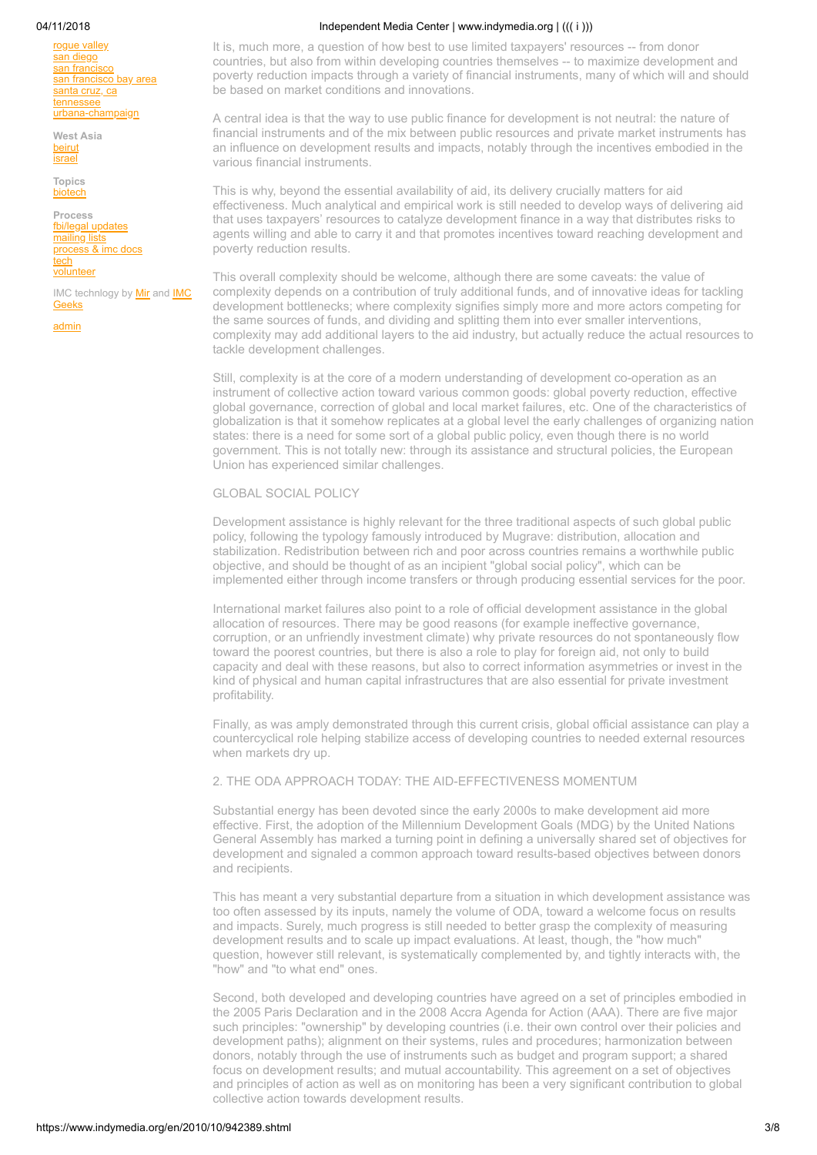roque valley [san diego](http://sandiego.indymedia.org/) [san francisco](http://sf.indymedia.org/) [san francisco bay area](https://www.indybay.org/) [santa cruz, ca](http://www.indybay.org/santacruz/) [tennessee](http://tnimc.org/) [urbana-champaign](http://www.ucimc.org/)

**West Asia [beirut](http://beirut.indymedia.org/)** [israel](http://israel.indymedia.org/)

**Topics** [biotech](http://biotech.indymedia.org/)

**Process** [fbi/legal updates](http://www.indymedia.org/fbi/) [mailing lists](http://lists.indymedia.org/) [process & imc docs](http://docs.indymedia.org/) [tech](http://tech.indymedia.org/) [volunteer](http://volunteer.indymedia.org/)

[IMC technlogy by Mir and IMC](http://process.indymedia.org/tech) Geeks

[admin](https://publish.indymedia.org/earth/servlet/Mir)

04/11/2018 Independent Media Center | www.indymedia.org | ((( i )))

It is, much more, a question of how best to use limited taxpayers' resources -- from donor countries, but also from within developing countries themselves -- to maximize development and poverty reduction impacts through a variety of financial instruments, many of which will and should be based on market conditions and innovations.

A central idea is that the way to use public finance for development is not neutral: the nature of financial instruments and of the mix between public resources and private market instruments has an influence on development results and impacts, notably through the incentives embodied in the various financial instruments.

This is why, beyond the essential availability of aid, its delivery crucially matters for aid effectiveness. Much analytical and empirical work is still needed to develop ways of delivering aid that uses taxpayers' resources to catalyze development finance in a way that distributes risks to agents willing and able to carry it and that promotes incentives toward reaching development and poverty reduction results.

This overall complexity should be welcome, although there are some caveats: the value of complexity depends on a contribution of truly additional funds, and of innovative ideas for tackling development bottlenecks; where complexity signifies simply more and more actors competing for the same sources of funds, and dividing and splitting them into ever smaller interventions, complexity may add additional layers to the aid industry, but actually reduce the actual resources to tackle development challenges.

Still, complexity is at the core of a modern understanding of development co-operation as an instrument of collective action toward various common goods: global poverty reduction, effective global governance, correction of global and local market failures, etc. One of the characteristics of globalization is that it somehow replicates at a global level the early challenges of organizing nation states: there is a need for some sort of a global public policy, even though there is no world government. This is not totally new: through its assistance and structural policies, the European Union has experienced similar challenges.

#### GLOBAL SOCIAL POLICY

Development assistance is highly relevant for the three traditional aspects of such global public policy, following the typology famously introduced by Mugrave: distribution, allocation and stabilization. Redistribution between rich and poor across countries remains a worthwhile public objective, and should be thought of as an incipient "global social policy", which can be implemented either through income transfers or through producing essential services for the poor.

International market failures also point to a role of official development assistance in the global allocation of resources. There may be good reasons (for example ineffective governance, corruption, or an unfriendly investment climate) why private resources do not spontaneously flow toward the poorest countries, but there is also a role to play for foreign aid, not only to build capacity and deal with these reasons, but also to correct information asymmetries or invest in the kind of physical and human capital infrastructures that are also essential for private investment profitability.

Finally, as was amply demonstrated through this current crisis, global official assistance can play a countercyclical role helping stabilize access of developing countries to needed external resources when markets dry up.

## 2. THE ODA APPROACH TODAY: THE AID-EFFECTIVENESS MOMENTUM

Substantial energy has been devoted since the early 2000s to make development aid more effective. First, the adoption of the Millennium Development Goals (MDG) by the United Nations General Assembly has marked a turning point in defining a universally shared set of objectives for development and signaled a common approach toward results-based objectives between donors and recipients.

This has meant a very substantial departure from a situation in which development assistance was too often assessed by its inputs, namely the volume of ODA, toward a welcome focus on results and impacts. Surely, much progress is still needed to better grasp the complexity of measuring development results and to scale up impact evaluations. At least, though, the "how much" question, however still relevant, is systematically complemented by, and tightly interacts with, the "how" and "to what end" ones.

Second, both developed and developing countries have agreed on a set of principles embodied in the 2005 Paris Declaration and in the 2008 Accra Agenda for Action (AAA). There are five major such principles: "ownership" by developing countries (i.e. their own control over their policies and development paths); alignment on their systems, rules and procedures; harmonization between donors, notably through the use of instruments such as budget and program support; a shared focus on development results; and mutual accountability. This agreement on a set of objectives and principles of action as well as on monitoring has been a very significant contribution to global collective action towards development results.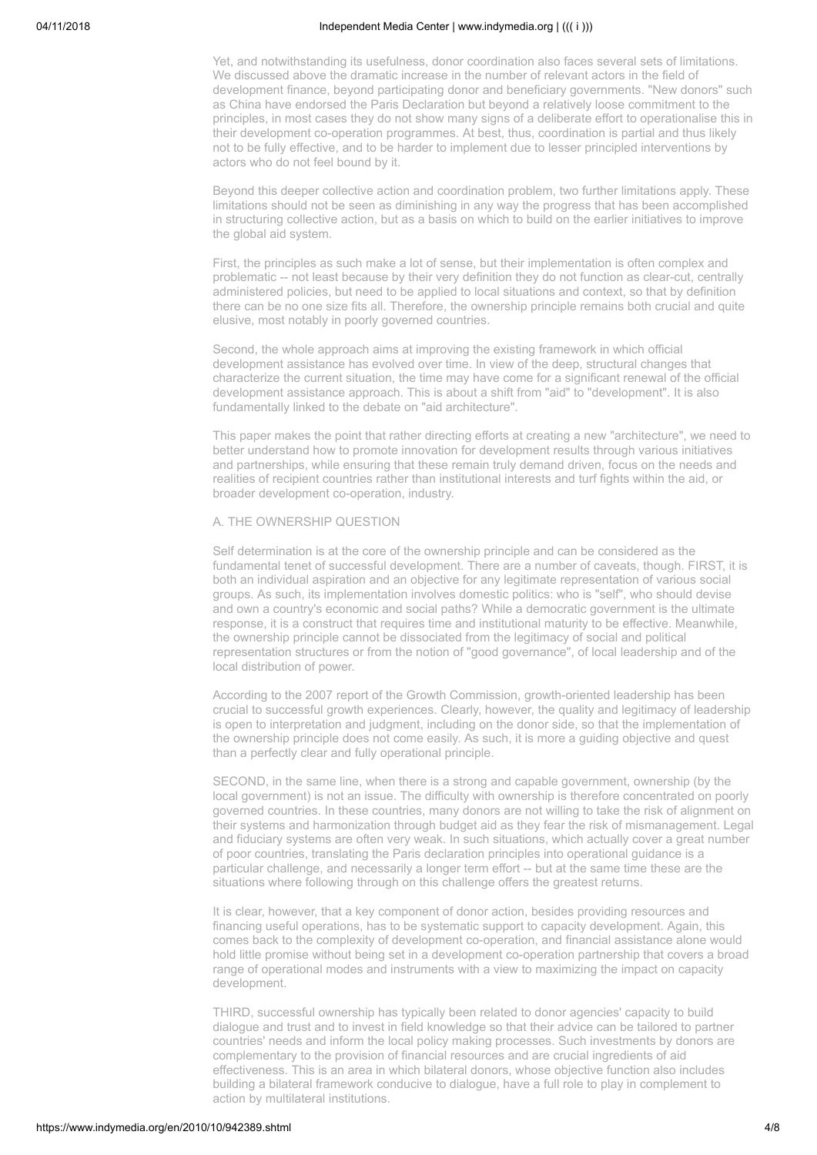Yet, and notwithstanding its usefulness, donor coordination also faces several sets of limitations. We discussed above the dramatic increase in the number of relevant actors in the field of development finance, beyond participating donor and beneficiary governments. "New donors" such as China have endorsed the Paris Declaration but beyond a relatively loose commitment to the principles, in most cases they do not show many signs of a deliberate effort to operationalise this in their development co-operation programmes. At best, thus, coordination is partial and thus likely not to be fully effective, and to be harder to implement due to lesser principled interventions by actors who do not feel bound by it.

Beyond this deeper collective action and coordination problem, two further limitations apply. These limitations should not be seen as diminishing in any way the progress that has been accomplished in structuring collective action, but as a basis on which to build on the earlier initiatives to improve the global aid system.

First, the principles as such make a lot of sense, but their implementation is often complex and problematic -- not least because by their very definition they do not function as clear-cut, centrally administered policies, but need to be applied to local situations and context, so that by definition there can be no one size fits all. Therefore, the ownership principle remains both crucial and quite elusive, most notably in poorly governed countries.

Second, the whole approach aims at improving the existing framework in which official development assistance has evolved over time. In view of the deep, structural changes that characterize the current situation, the time may have come for a significant renewal of the official development assistance approach. This is about a shift from "aid" to "development". It is also fundamentally linked to the debate on "aid architecture".

This paper makes the point that rather directing efforts at creating a new "architecture", we need to better understand how to promote innovation for development results through various initiatives and partnerships, while ensuring that these remain truly demand driven, focus on the needs and realities of recipient countries rather than institutional interests and turf fights within the aid, or broader development co-operation, industry.

# A. THE OWNERSHIP QUESTION

Self determination is at the core of the ownership principle and can be considered as the fundamental tenet of successful development. There are a number of caveats, though. FIRST, it is both an individual aspiration and an objective for any legitimate representation of various social groups. As such, its implementation involves domestic politics: who is "self", who should devise and own a country's economic and social paths? While a democratic government is the ultimate response, it is a construct that requires time and institutional maturity to be effective. Meanwhile, the ownership principle cannot be dissociated from the legitimacy of social and political representation structures or from the notion of "good governance", of local leadership and of the local distribution of power.

According to the 2007 report of the Growth Commission, growth-oriented leadership has been crucial to successful growth experiences. Clearly, however, the quality and legitimacy of leadership is open to interpretation and judgment, including on the donor side, so that the implementation of the ownership principle does not come easily. As such, it is more a guiding objective and quest than a perfectly clear and fully operational principle.

SECOND, in the same line, when there is a strong and capable government, ownership (by the local government) is not an issue. The difficulty with ownership is therefore concentrated on poorly governed countries. In these countries, many donors are not willing to take the risk of alignment on their systems and harmonization through budget aid as they fear the risk of mismanagement. Legal and fiduciary systems are often very weak. In such situations, which actually cover a great number of poor countries, translating the Paris declaration principles into operational guidance is a particular challenge, and necessarily a longer term effort -- but at the same time these are the situations where following through on this challenge offers the greatest returns.

It is clear, however, that a key component of donor action, besides providing resources and financing useful operations, has to be systematic support to capacity development. Again, this comes back to the complexity of development co-operation, and financial assistance alone would hold little promise without being set in a development co-operation partnership that covers a broad range of operational modes and instruments with a view to maximizing the impact on capacity development.

THIRD, successful ownership has typically been related to donor agencies' capacity to build dialogue and trust and to invest in field knowledge so that their advice can be tailored to partner countries' needs and inform the local policy making processes. Such investments by donors are complementary to the provision of financial resources and are crucial ingredients of aid effectiveness. This is an area in which bilateral donors, whose objective function also includes building a bilateral framework conducive to dialogue, have a full role to play in complement to action by multilateral institutions.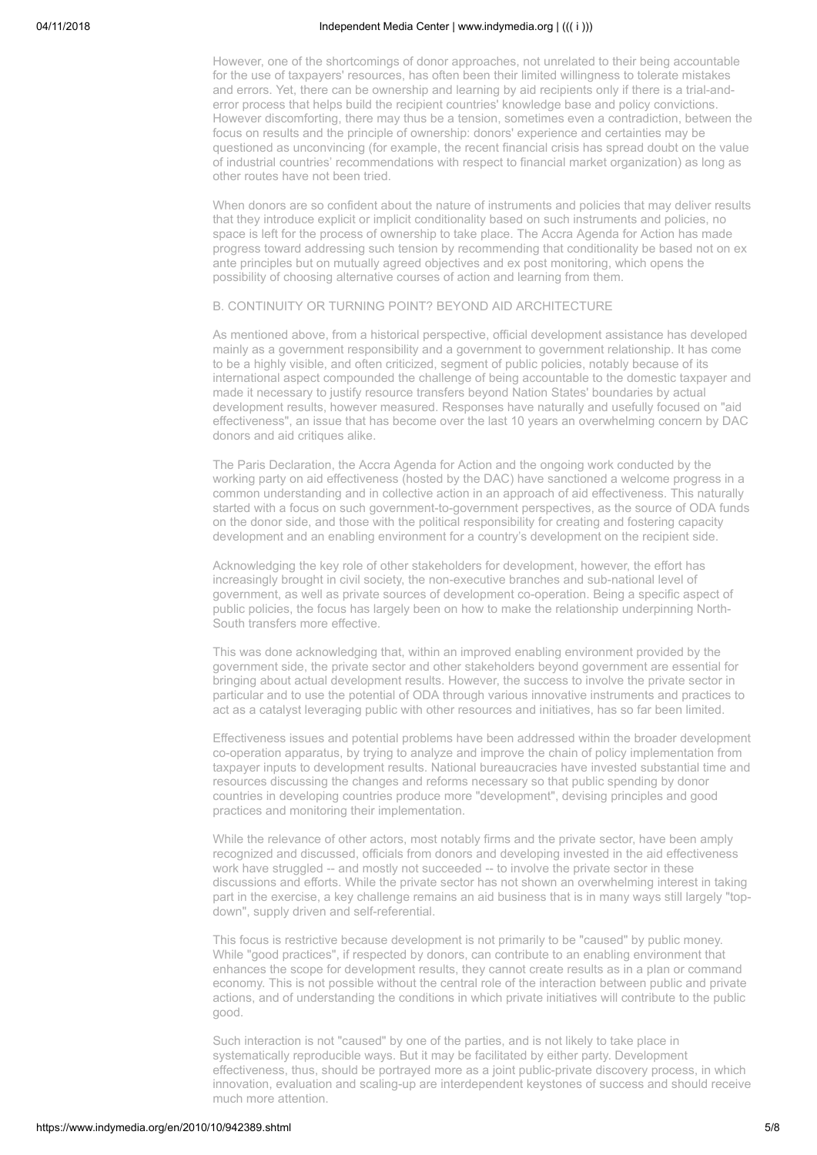However, one of the shortcomings of donor approaches, not unrelated to their being accountable for the use of taxpayers' resources, has often been their limited willingness to tolerate mistakes and errors. Yet, there can be ownership and learning by aid recipients only if there is a trial-anderror process that helps build the recipient countries' knowledge base and policy convictions. However discomforting, there may thus be a tension, sometimes even a contradiction, between the focus on results and the principle of ownership: donors' experience and certainties may be questioned as unconvincing (for example, the recent financial crisis has spread doubt on the value of industrial countries' recommendations with respect to financial market organization) as long as other routes have not been tried.

When donors are so confident about the nature of instruments and policies that may deliver results that they introduce explicit or implicit conditionality based on such instruments and policies, no space is left for the process of ownership to take place. The Accra Agenda for Action has made progress toward addressing such tension by recommending that conditionality be based not on ex ante principles but on mutually agreed objectives and ex post monitoring, which opens the possibility of choosing alternative courses of action and learning from them.

### B. CONTINUITY OR TURNING POINT? BEYOND AID ARCHITECTURE

As mentioned above, from a historical perspective, official development assistance has developed mainly as a government responsibility and a government to government relationship. It has come to be a highly visible, and often criticized, segment of public policies, notably because of its international aspect compounded the challenge of being accountable to the domestic taxpayer and made it necessary to justify resource transfers beyond Nation States' boundaries by actual development results, however measured. Responses have naturally and usefully focused on "aid effectiveness", an issue that has become over the last 10 years an overwhelming concern by DAC donors and aid critiques alike.

The Paris Declaration, the Accra Agenda for Action and the ongoing work conducted by the working party on aid effectiveness (hosted by the DAC) have sanctioned a welcome progress in a common understanding and in collective action in an approach of aid effectiveness. This naturally started with a focus on such government-to-government perspectives, as the source of ODA funds on the donor side, and those with the political responsibility for creating and fostering capacity development and an enabling environment for a country's development on the recipient side.

Acknowledging the key role of other stakeholders for development, however, the effort has increasingly brought in civil society, the non-executive branches and sub-national level of government, as well as private sources of development co-operation. Being a specific aspect of public policies, the focus has largely been on how to make the relationship underpinning North-South transfers more effective.

This was done acknowledging that, within an improved enabling environment provided by the government side, the private sector and other stakeholders beyond government are essential for bringing about actual development results. However, the success to involve the private sector in particular and to use the potential of ODA through various innovative instruments and practices to act as a catalyst leveraging public with other resources and initiatives, has so far been limited.

Effectiveness issues and potential problems have been addressed within the broader development co-operation apparatus, by trying to analyze and improve the chain of policy implementation from taxpayer inputs to development results. National bureaucracies have invested substantial time and resources discussing the changes and reforms necessary so that public spending by donor countries in developing countries produce more "development", devising principles and good practices and monitoring their implementation.

While the relevance of other actors, most notably firms and the private sector, have been amply recognized and discussed, officials from donors and developing invested in the aid effectiveness work have struggled -- and mostly not succeeded -- to involve the private sector in these discussions and efforts. While the private sector has not shown an overwhelming interest in taking part in the exercise, a key challenge remains an aid business that is in many ways still largely "topdown", supply driven and self-referential.

This focus is restrictive because development is not primarily to be "caused" by public money. While "good practices", if respected by donors, can contribute to an enabling environment that enhances the scope for development results, they cannot create results as in a plan or command economy. This is not possible without the central role of the interaction between public and private actions, and of understanding the conditions in which private initiatives will contribute to the public good.

Such interaction is not "caused" by one of the parties, and is not likely to take place in systematically reproducible ways. But it may be facilitated by either party. Development effectiveness, thus, should be portrayed more as a joint public-private discovery process, in which innovation, evaluation and scaling-up are interdependent keystones of success and should receive much more attention.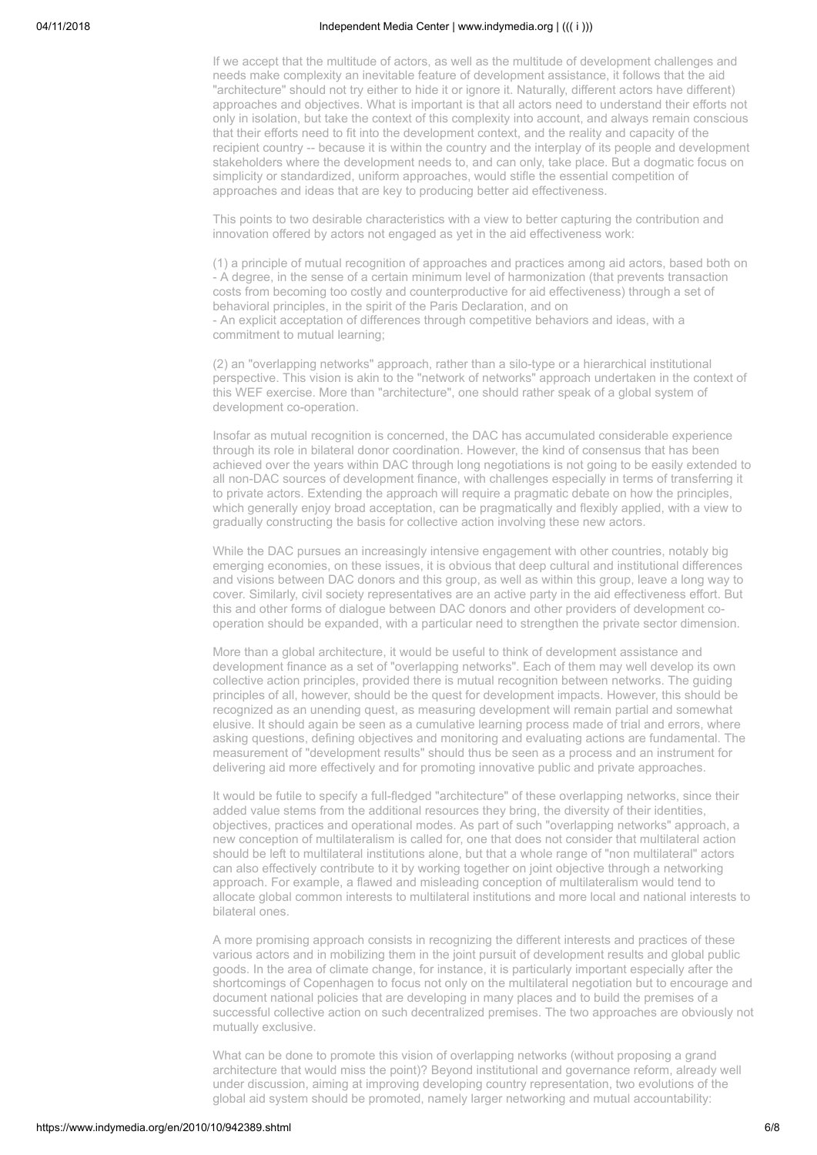If we accept that the multitude of actors, as well as the multitude of development challenges and needs make complexity an inevitable feature of development assistance, it follows that the aid "architecture" should not try either to hide it or ignore it. Naturally, different actors have different) approaches and objectives. What is important is that all actors need to understand their efforts not only in isolation, but take the context of this complexity into account, and always remain conscious that their efforts need to fit into the development context, and the reality and capacity of the recipient country -- because it is within the country and the interplay of its people and development stakeholders where the development needs to, and can only, take place. But a dogmatic focus on simplicity or standardized, uniform approaches, would stifle the essential competition of approaches and ideas that are key to producing better aid effectiveness.

This points to two desirable characteristics with a view to better capturing the contribution and innovation offered by actors not engaged as yet in the aid effectiveness work:

(1) a principle of mutual recognition of approaches and practices among aid actors, based both on - A degree, in the sense of a certain minimum level of harmonization (that prevents transaction costs from becoming too costly and counterproductive for aid effectiveness) through a set of behavioral principles, in the spirit of the Paris Declaration, and on - An explicit acceptation of differences through competitive behaviors and ideas, with a commitment to mutual learning;

(2) an "overlapping networks" approach, rather than a silo-type or a hierarchical institutional perspective. This vision is akin to the "network of networks" approach undertaken in the context of this WEF exercise. More than "architecture", one should rather speak of a global system of development co-operation.

Insofar as mutual recognition is concerned, the DAC has accumulated considerable experience through its role in bilateral donor coordination. However, the kind of consensus that has been achieved over the years within DAC through long negotiations is not going to be easily extended to all non-DAC sources of development finance, with challenges especially in terms of transferring it to private actors. Extending the approach will require a pragmatic debate on how the principles, which generally enjoy broad acceptation, can be pragmatically and flexibly applied, with a view to gradually constructing the basis for collective action involving these new actors.

While the DAC pursues an increasingly intensive engagement with other countries, notably big emerging economies, on these issues, it is obvious that deep cultural and institutional differences and visions between DAC donors and this group, as well as within this group, leave a long way to cover. Similarly, civil society representatives are an active party in the aid effectiveness effort. But this and other forms of dialogue between DAC donors and other providers of development cooperation should be expanded, with a particular need to strengthen the private sector dimension.

More than a global architecture, it would be useful to think of development assistance and development finance as a set of "overlapping networks". Each of them may well develop its own collective action principles, provided there is mutual recognition between networks. The guiding principles of all, however, should be the quest for development impacts. However, this should be recognized as an unending quest, as measuring development will remain partial and somewhat elusive. It should again be seen as a cumulative learning process made of trial and errors, where asking questions, defining objectives and monitoring and evaluating actions are fundamental. The measurement of "development results" should thus be seen as a process and an instrument for delivering aid more effectively and for promoting innovative public and private approaches.

It would be futile to specify a full-fledged "architecture" of these overlapping networks, since their added value stems from the additional resources they bring, the diversity of their identities, objectives, practices and operational modes. As part of such "overlapping networks" approach, a new conception of multilateralism is called for, one that does not consider that multilateral action should be left to multilateral institutions alone, but that a whole range of "non multilateral" actors can also effectively contribute to it by working together on joint objective through a networking approach. For example, a flawed and misleading conception of multilateralism would tend to allocate global common interests to multilateral institutions and more local and national interests to bilateral ones.

A more promising approach consists in recognizing the different interests and practices of these various actors and in mobilizing them in the joint pursuit of development results and global public goods. In the area of climate change, for instance, it is particularly important especially after the shortcomings of Copenhagen to focus not only on the multilateral negotiation but to encourage and document national policies that are developing in many places and to build the premises of a successful collective action on such decentralized premises. The two approaches are obviously not mutually exclusive.

What can be done to promote this vision of overlapping networks (without proposing a grand architecture that would miss the point)? Beyond institutional and governance reform, already well under discussion, aiming at improving developing country representation, two evolutions of the global aid system should be promoted, namely larger networking and mutual accountability: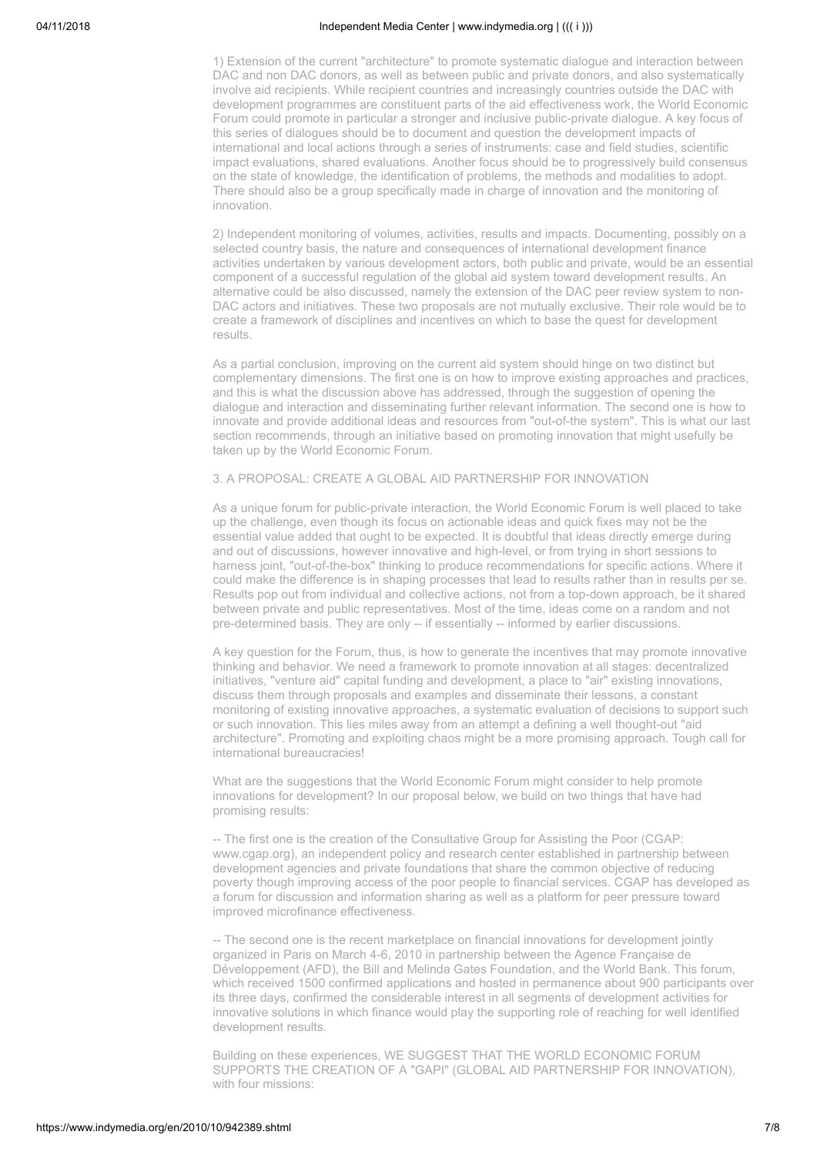1) Extension of the current "architecture" to promote systematic dialogue and interaction between DAC and non DAC donors, as well as between public and private donors, and also systematically involve aid recipients. While recipient countries and increasingly countries outside the DAC with development programmes are constituent parts of the aid effectiveness work, the World Economic Forum could promote in particular a stronger and inclusive public-private dialogue. A key focus of this series of dialogues should be to document and question the development impacts of international and local actions through a series of instruments: case and field studies, scientific impact evaluations, shared evaluations. Another focus should be to progressively build consensus on the state of knowledge, the identification of problems, the methods and modalities to adopt. There should also be a group specifically made in charge of innovation and the monitoring of innovation.

2) Independent monitoring of volumes, activities, results and impacts. Documenting, possibly on a selected country basis, the nature and consequences of international development finance activities undertaken by various development actors, both public and private, would be an essential component of a successful regulation of the global aid system toward development results. An alternative could be also discussed, namely the extension of the DAC peer review system to non-DAC actors and initiatives. These two proposals are not mutually exclusive. Their role would be to create a framework of disciplines and incentives on which to base the quest for development results.

As a partial conclusion, improving on the current aid system should hinge on two distinct but complementary dimensions. The first one is on how to improve existing approaches and practices, and this is what the discussion above has addressed, through the suggestion of opening the dialogue and interaction and disseminating further relevant information. The second one is how to innovate and provide additional ideas and resources from "out-of-the system". This is what our last section recommends, through an initiative based on promoting innovation that might usefully be taken up by the World Economic Forum.

### 3. A PROPOSAL: CREATE A GLOBAL AID PARTNERSHIP FOR INNOVATION

As a unique forum for public-private interaction, the World Economic Forum is well placed to take up the challenge, even though its focus on actionable ideas and quick fixes may not be the essential value added that ought to be expected. It is doubtful that ideas directly emerge during and out of discussions, however innovative and high-level, or from trying in short sessions to harness joint, "out-of-the-box" thinking to produce recommendations for specific actions. Where it could make the difference is in shaping processes that lead to results rather than in results per se. Results pop out from individual and collective actions, not from a top-down approach, be it shared between private and public representatives. Most of the time, ideas come on a random and not pre-determined basis. They are only -- if essentially -- informed by earlier discussions.

A key question for the Forum, thus, is how to generate the incentives that may promote innovative thinking and behavior. We need a framework to promote innovation at all stages: decentralized initiatives, "venture aid" capital funding and development, a place to "air" existing innovations, discuss them through proposals and examples and disseminate their lessons, a constant monitoring of existing innovative approaches, a systematic evaluation of decisions to support such or such innovation. This lies miles away from an attempt a defining a well thought-out "aid architecture". Promoting and exploiting chaos might be a more promising approach. Tough call for international bureaucracies!

What are the suggestions that the World Economic Forum might consider to help promote innovations for development? In our proposal below, we build on two things that have had promising results:

-- The first one is the creation of the Consultative Group for Assisting the Poor (CGAP: www.cgap.org), an independent policy and research center established in partnership between development agencies and private foundations that share the common objective of reducing poverty though improving access of the poor people to financial services. CGAP has developed as a forum for discussion and information sharing as well as a platform for peer pressure toward improved microfinance effectiveness.

-- The second one is the recent marketplace on financial innovations for development jointly organized in Paris on March 4-6, 2010 in partnership between the Agence Française de Développement (AFD), the Bill and Melinda Gates Foundation, and the World Bank. This forum, which received 1500 confirmed applications and hosted in permanence about 900 participants over its three days, confirmed the considerable interest in all segments of development activities for innovative solutions in which finance would play the supporting role of reaching for well identified development results.

Building on these experiences, WE SUGGEST THAT THE WORLD ECONOMIC FORUM SUPPORTS THE CREATION OF A "GAPI" (GLOBAL AID PARTNERSHIP FOR INNOVATION), with four missions: